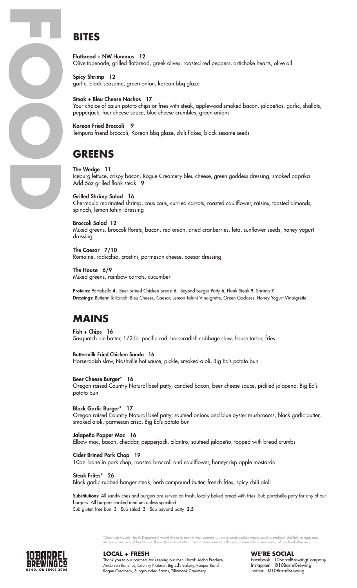# **BITES**

Flatbread + NW Hummus 12 Olive tapenade, grilled flatbread, greek olives, roasted red peppers, artichoke hearts, olive oil

Spicy Shrimp 12 garlic, black seasame, green onion, korean bbq glaze

### Steak + Bleu Cheese Nachos 17

Your choice of cajun potato chips or fries with steak, applewood smoked bacon, jalapeños, garlic, shallots, pepperjack, four cheese sauce, blue cheese crumbles, green onions

Korean Fried Broccoli 9 Tempura friend broccoli, Korean bbq glaze, chili flakes, black sesame seeds

### **GREENS**

The Wedge 11 Iceburg lettuce, crispy bacon, Rogue Creamery bleu cheese, green goddess dressing, smoked paprika Add 5oz grilled flank steak 9

Grilled Shrimp Salad 16 Chermoula marinated shrimp, cous cous, curried carrots, roasted cauliflower, raisins, toasted almonds, spinach, lemon tahini dressing

#### Broccoli Salad 12

Mixed greens, broccoli florets, bacon, red onion, dried cranberries, feta, sunflower seeds, honey yogurt dressing

The Caesar 7/10 Romaine, radicchio, crostini, parmesan cheese, caesar dressing

The House 6/9 Mixed greens, rainbow carrots, cucumber

Proteins: Portobello 4, Beer Brined Chicken Breast 6, Beyond Burger Patty 6, Flank Steak 9, Shrimp 7 Dressings: Buttermilk Ranch, Bleu Cheese, Caesar, Lemon Tahini Vinaigrette, Green Goddess, Honey Yogurt Vinaigrette

# **MAINS**

Fish + Chips 16 Sasquatch ale batter, 1/2 lb. pacific cod, horseradish cabbage slaw, house tartar, fries

Buttermilk Fried Chicken Sando 16

Horseradish slaw, Nashville hot sauce, pickle, smoked aioli, Big Ed's potato bun

#### Beer Cheese Burger\* 16

Oregon raised Country Natural beef patty, candied bacon, beer cheese sauce, pickled jalapeno, Big Ed's potato bun

Black Garlic Burger\* 17

Oregon raised Country Natural beef patty, sauteed onions and blue oyster mushrooms, black garlic butter, smoked aioli, parmesan crisp, Big Ed's potato bun

Jalapeño Popper Mac 16 Elbow mac, bacon, cheddar, pepperjack, cilantro, sautéed jalapeño, topped with bread crumbs

Cider Brined Pork Chop 19 10oz. bone in pork chop, roasted broccoli and cauliflower, honeycrisp apple mostarda

Steak Frites\* 26

Black garlic rubbed hanger steak, herb compound butter, french fries, spicy chili aioli

Substitutions: All sandwiches and burgers are served on fresh, locally baked bread with fries. Sub portobello patty for any of our burgers. All burgers cooked medium unless specified. Sub gluten free bun 3 Sub salad 3 Sub beyond patty 2.5

> \*Deschutes County Health Department would like us to remind you, consuming raw or undercooked meats, poultry, seafood, shellfish, or eggs may increaase your risk of food-borne illness. (Some food idems may contain common allergens, please advise your server of any food allergies.)



**LOCAL + FRESH** Thank you to our partners for keeping our menu local: Aloha Produce, Anderson Ranches, Country Natural, Big Ed's Bakery, Rooper Ranch, Rogue Creamery, Sungrounded Farms, Tillamook Creamery

**WE'RE SOCIAL** Facebook 10BarrelBrewingCompany Instagram @10BarrelBrewing Twitter @10BarrelBrewing